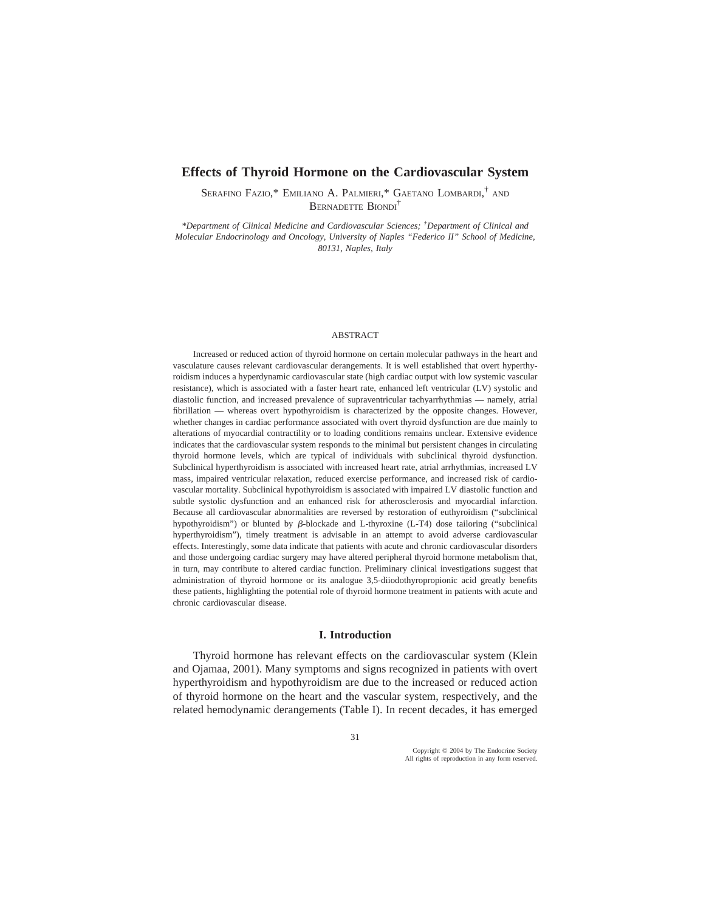# **Effects of Thyroid Hormone on the Cardiovascular System**

SERAFINO FAZIO,\* EMILIANO A. PALMIERI,\* GAETANO LOMBARDI, † AND BERNADETTE BIONDI†

*\*Department of Clinical Medicine and Cardiovascular Sciences; † Department of Clinical and Molecular Endocrinology and Oncology, University of Naples "Federico II" School of Medicine, 80131, Naples, Italy*

#### ABSTRACT

Increased or reduced action of thyroid hormone on certain molecular pathways in the heart and vasculature causes relevant cardiovascular derangements. It is well established that overt hyperthyroidism induces a hyperdynamic cardiovascular state (high cardiac output with low systemic vascular resistance), which is associated with a faster heart rate, enhanced left ventricular (LV) systolic and diastolic function, and increased prevalence of supraventricular tachyarrhythmias — namely, atrial fibrillation — whereas overt hypothyroidism is characterized by the opposite changes. However, whether changes in cardiac performance associated with overt thyroid dysfunction are due mainly to alterations of myocardial contractility or to loading conditions remains unclear. Extensive evidence indicates that the cardiovascular system responds to the minimal but persistent changes in circulating thyroid hormone levels, which are typical of individuals with subclinical thyroid dysfunction. Subclinical hyperthyroidism is associated with increased heart rate, atrial arrhythmias, increased LV mass, impaired ventricular relaxation, reduced exercise performance, and increased risk of cardiovascular mortality. Subclinical hypothyroidism is associated with impaired LV diastolic function and subtle systolic dysfunction and an enhanced risk for atherosclerosis and myocardial infarction. Because all cardiovascular abnormalities are reversed by restoration of euthyroidism ("subclinical hypothyroidism") or blunted by  $\beta$ -blockade and L-thyroxine (L-T4) dose tailoring ("subclinical hyperthyroidism"), timely treatment is advisable in an attempt to avoid adverse cardiovascular effects. Interestingly, some data indicate that patients with acute and chronic cardiovascular disorders and those undergoing cardiac surgery may have altered peripheral thyroid hormone metabolism that, in turn, may contribute to altered cardiac function. Preliminary clinical investigations suggest that administration of thyroid hormone or its analogue 3,5-diiodothyropropionic acid greatly benefits these patients, highlighting the potential role of thyroid hormone treatment in patients with acute and chronic cardiovascular disease.

# **I. Introduction**

Thyroid hormone has relevant effects on the cardiovascular system (Klein and Ojamaa, 2001). Many symptoms and signs recognized in patients with overt hyperthyroidism and hypothyroidism are due to the increased or reduced action of thyroid hormone on the heart and the vascular system, respectively, and the related hemodynamic derangements (Table I). In recent decades, it has emerged

Copyright © 2004 by The Endocrine Society All rights of reproduction in any form reserved.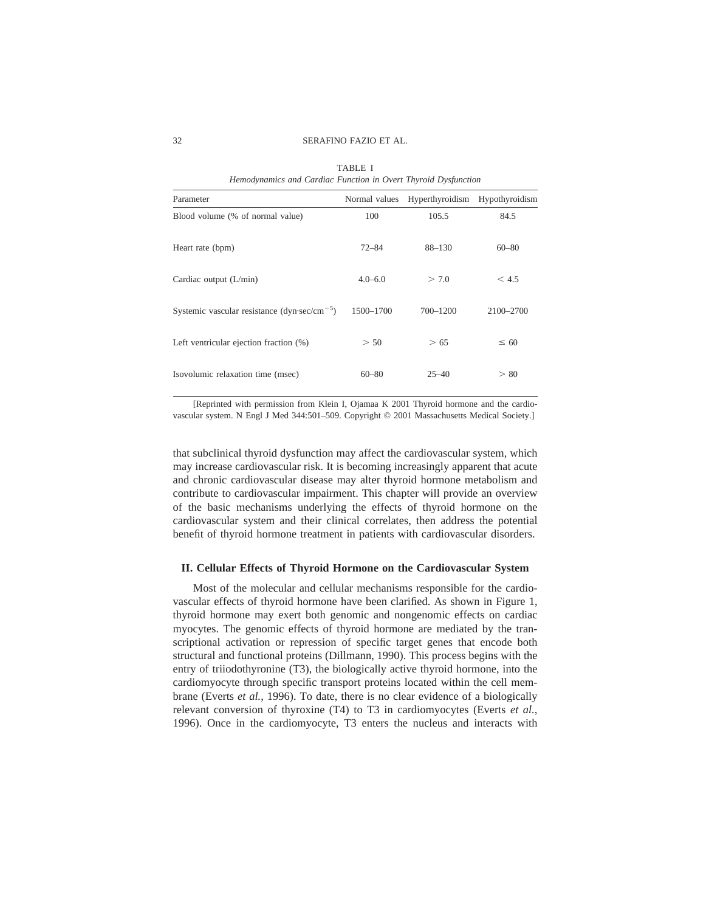| window where can and a microle me of oil and followed popertion |                 |                |
|-----------------------------------------------------------------|-----------------|----------------|
| Normal values                                                   | Hyperthyroidism | Hypothyroidism |
| 100                                                             | 105.5           | 84.5           |
| $72 - 84$                                                       | $88 - 130$      | $60 - 80$      |
| $4.0 - 6.0$                                                     | > 7.0           | < 4.5          |
| 1500-1700                                                       | 700-1200        | 2100-2700      |
| > 50                                                            | > 65            | $\leq 60$      |
| $60 - 80$                                                       | $25 - 40$       | > 80           |
|                                                                 |                 |                |

TABLE I *Hemodynamics and Cardiac Function in Overt Thyroid Dysfunction*

[Reprinted with permission from Klein I, Ojamaa K 2001 Thyroid hormone and the cardiovascular system. N Engl J Med 344:501–509. Copyright © 2001 Massachusetts Medical Society.]

that subclinical thyroid dysfunction may affect the cardiovascular system, which may increase cardiovascular risk. It is becoming increasingly apparent that acute and chronic cardiovascular disease may alter thyroid hormone metabolism and contribute to cardiovascular impairment. This chapter will provide an overview of the basic mechanisms underlying the effects of thyroid hormone on the cardiovascular system and their clinical correlates, then address the potential benefit of thyroid hormone treatment in patients with cardiovascular disorders.

### **II. Cellular Effects of Thyroid Hormone on the Cardiovascular System**

Most of the molecular and cellular mechanisms responsible for the cardiovascular effects of thyroid hormone have been clarified. As shown in Figure 1, thyroid hormone may exert both genomic and nongenomic effects on cardiac myocytes. The genomic effects of thyroid hormone are mediated by the transcriptional activation or repression of specific target genes that encode both structural and functional proteins (Dillmann, 1990). This process begins with the entry of triiodothyronine (T3), the biologically active thyroid hormone, into the cardiomyocyte through specific transport proteins located within the cell membrane (Everts *et al.*, 1996). To date, there is no clear evidence of a biologically relevant conversion of thyroxine (T4) to T3 in cardiomyocytes (Everts *et al.*, 1996). Once in the cardiomyocyte, T3 enters the nucleus and interacts with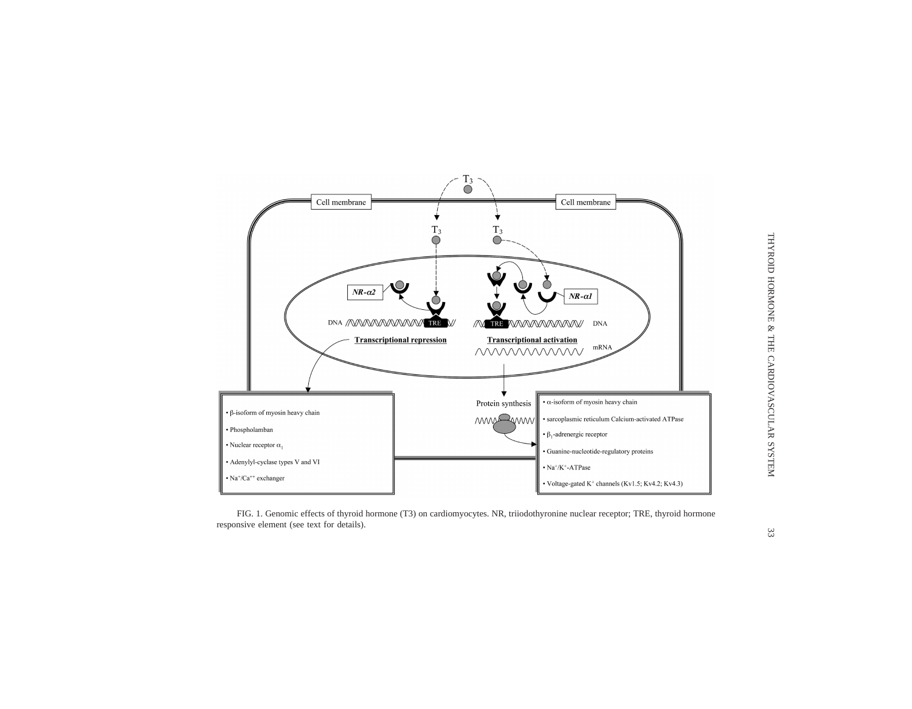

THYROID HORMONE & THE CARDIOVASCULAR SYSTEM 33 THYROID HORMONE & THE CARDIOVASCULAR SYSTEM

FIG. 1. Genomic effects of thyroid hormone (T3) on cardiomyocytes. NR, triiodothyronine nuclear receptor; TRE, thyroid hormone responsive element (see text for details).

 $\mathfrak{Z} \mathfrak{Z}$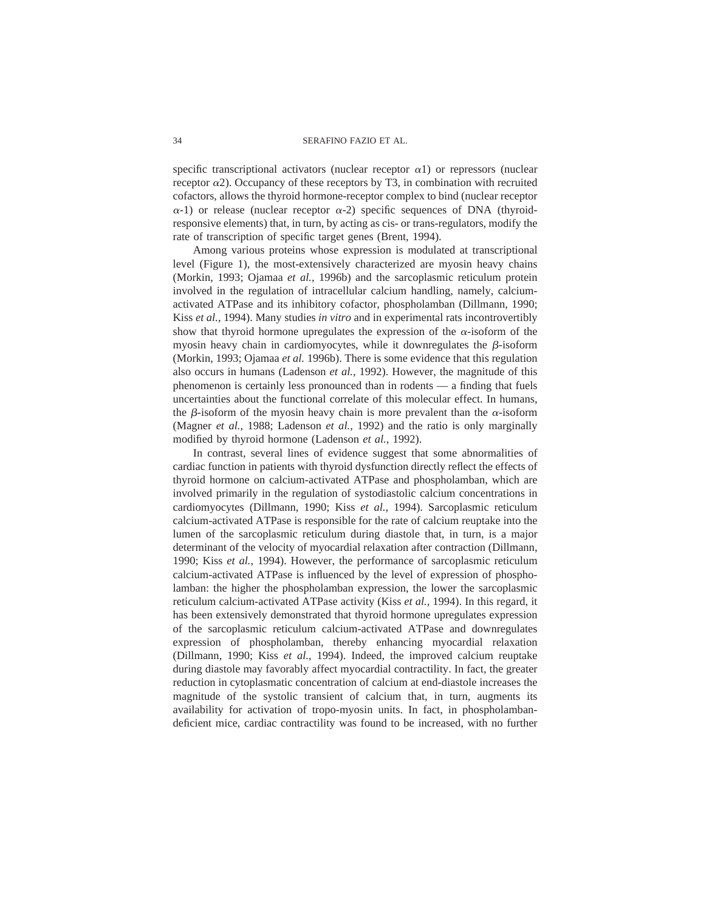specific transcriptional activators (nuclear receptor  $\alpha$ 1) or repressors (nuclear receptor  $\alpha$ 2). Occupancy of these receptors by T3, in combination with recruited cofactors, allows the thyroid hormone-receptor complex to bind (nuclear receptor  $\alpha$ -1) or release (nuclear receptor  $\alpha$ -2) specific sequences of DNA (thyroidresponsive elements) that, in turn, by acting as cis- or trans-regulators, modify the rate of transcription of specific target genes (Brent, 1994).

Among various proteins whose expression is modulated at transcriptional level (Figure 1), the most-extensively characterized are myosin heavy chains (Morkin, 1993; Ojamaa *et al.*, 1996b) and the sarcoplasmic reticulum protein involved in the regulation of intracellular calcium handling, namely, calciumactivated ATPase and its inhibitory cofactor, phospholamban (Dillmann, 1990; Kiss *et al.*, 1994). Many studies *in vitro* and in experimental rats incontrovertibly show that thyroid hormone upregulates the expression of the  $\alpha$ -isoform of the myosin heavy chain in cardiomyocytes, while it downregulates the  $\beta$ -isoform (Morkin, 1993; Ojamaa *et al.* 1996b). There is some evidence that this regulation also occurs in humans (Ladenson *et al.*, 1992). However, the magnitude of this phenomenon is certainly less pronounced than in rodents — a finding that fuels uncertainties about the functional correlate of this molecular effect. In humans, the  $\beta$ -isoform of the myosin heavy chain is more prevalent than the  $\alpha$ -isoform (Magner *et al.*, 1988; Ladenson *et al.*, 1992) and the ratio is only marginally modified by thyroid hormone (Ladenson *et al.*, 1992).

In contrast, several lines of evidence suggest that some abnormalities of cardiac function in patients with thyroid dysfunction directly reflect the effects of thyroid hormone on calcium-activated ATPase and phospholamban, which are involved primarily in the regulation of systodiastolic calcium concentrations in cardiomyocytes (Dillmann, 1990; Kiss *et al.*, 1994). Sarcoplasmic reticulum calcium-activated ATPase is responsible for the rate of calcium reuptake into the lumen of the sarcoplasmic reticulum during diastole that, in turn, is a major determinant of the velocity of myocardial relaxation after contraction (Dillmann, 1990; Kiss *et al.*, 1994). However, the performance of sarcoplasmic reticulum calcium-activated ATPase is influenced by the level of expression of phospholamban: the higher the phospholamban expression, the lower the sarcoplasmic reticulum calcium-activated ATPase activity (Kiss *et al.*, 1994). In this regard, it has been extensively demonstrated that thyroid hormone upregulates expression of the sarcoplasmic reticulum calcium-activated ATPase and downregulates expression of phospholamban, thereby enhancing myocardial relaxation (Dillmann, 1990; Kiss *et al.*, 1994). Indeed, the improved calcium reuptake during diastole may favorably affect myocardial contractility. In fact, the greater reduction in cytoplasmatic concentration of calcium at end-diastole increases the magnitude of the systolic transient of calcium that, in turn, augments its availability for activation of tropo-myosin units. In fact, in phospholambandeficient mice, cardiac contractility was found to be increased, with no further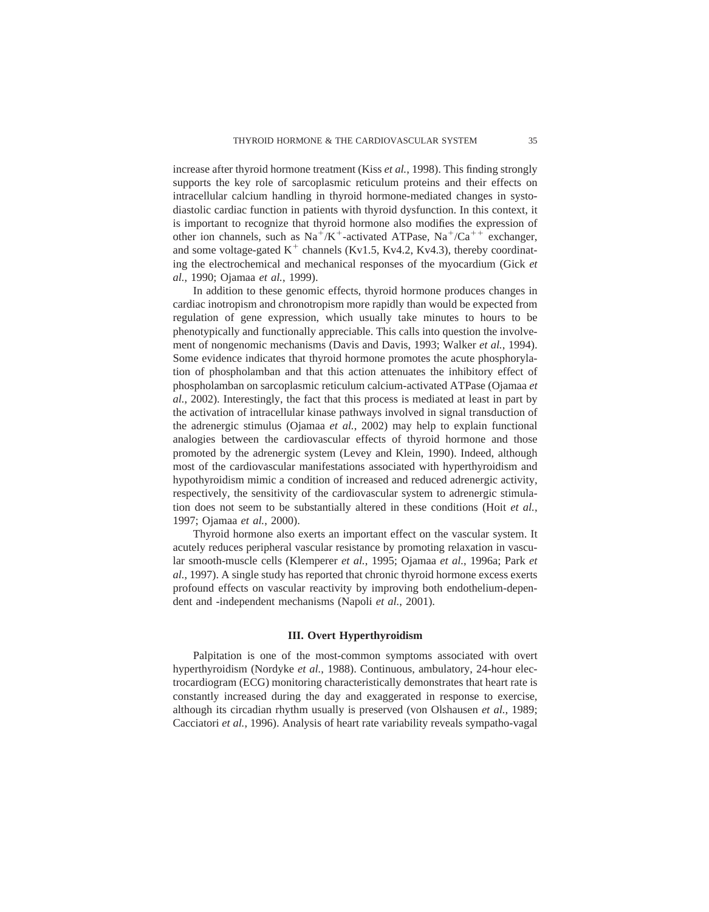increase after thyroid hormone treatment (Kiss *et al.*, 1998). This finding strongly supports the key role of sarcoplasmic reticulum proteins and their effects on intracellular calcium handling in thyroid hormone-mediated changes in systodiastolic cardiac function in patients with thyroid dysfunction. In this context, it is important to recognize that thyroid hormone also modifies the expression of other ion channels, such as  $Na^+/K^+$ -activated ATPase,  $Na^+/Ca^{++}$  exchanger, and some voltage-gated  $K^+$  channels (Kv1.5, Kv4.2, Kv4.3), thereby coordinating the electrochemical and mechanical responses of the myocardium (Gick *et al.*, 1990; Ojamaa *et al.*, 1999).

In addition to these genomic effects, thyroid hormone produces changes in cardiac inotropism and chronotropism more rapidly than would be expected from regulation of gene expression, which usually take minutes to hours to be phenotypically and functionally appreciable. This calls into question the involvement of nongenomic mechanisms (Davis and Davis, 1993; Walker *et al.*, 1994). Some evidence indicates that thyroid hormone promotes the acute phosphorylation of phospholamban and that this action attenuates the inhibitory effect of phospholamban on sarcoplasmic reticulum calcium-activated ATPase (Ojamaa *et al.*, 2002). Interestingly, the fact that this process is mediated at least in part by the activation of intracellular kinase pathways involved in signal transduction of the adrenergic stimulus (Ojamaa *et al.*, 2002) may help to explain functional analogies between the cardiovascular effects of thyroid hormone and those promoted by the adrenergic system (Levey and Klein, 1990). Indeed, although most of the cardiovascular manifestations associated with hyperthyroidism and hypothyroidism mimic a condition of increased and reduced adrenergic activity, respectively, the sensitivity of the cardiovascular system to adrenergic stimulation does not seem to be substantially altered in these conditions (Hoit *et al.*, 1997; Ojamaa *et al.*, 2000).

Thyroid hormone also exerts an important effect on the vascular system. It acutely reduces peripheral vascular resistance by promoting relaxation in vascular smooth-muscle cells (Klemperer *et al.*, 1995; Ojamaa *et al.*, 1996a; Park *et al.*, 1997). A single study has reported that chronic thyroid hormone excess exerts profound effects on vascular reactivity by improving both endothelium-dependent and -independent mechanisms (Napoli *et al.*, 2001).

### **III. Overt Hyperthyroidism**

Palpitation is one of the most-common symptoms associated with overt hyperthyroidism (Nordyke *et al.*, 1988). Continuous, ambulatory, 24-hour electrocardiogram (ECG) monitoring characteristically demonstrates that heart rate is constantly increased during the day and exaggerated in response to exercise, although its circadian rhythm usually is preserved (von Olshausen *et al.*, 1989; Cacciatori *et al.*, 1996). Analysis of heart rate variability reveals sympatho-vagal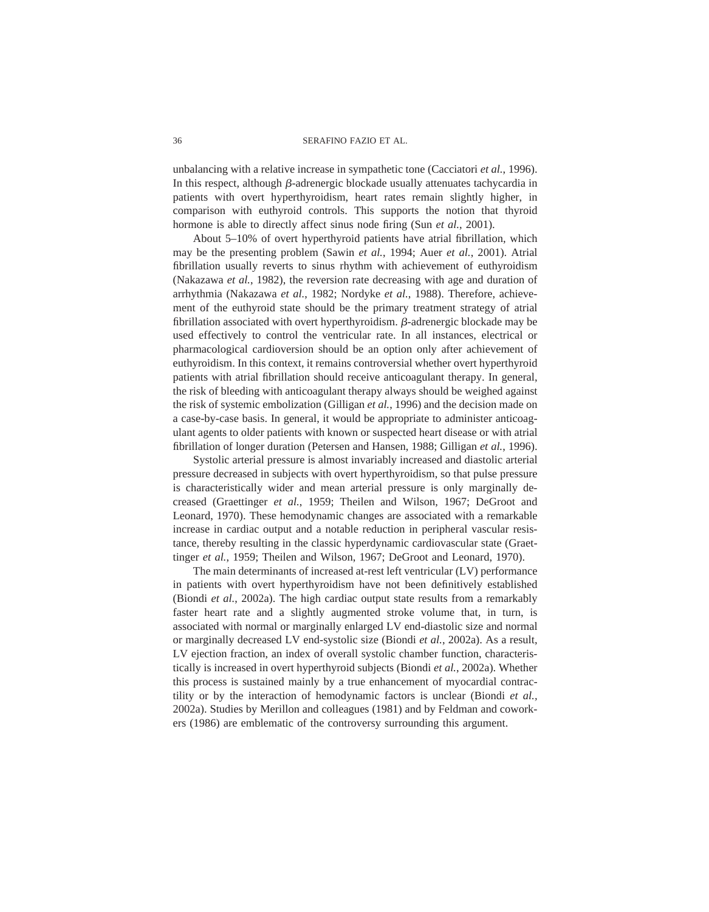unbalancing with a relative increase in sympathetic tone (Cacciatori *et al.*, 1996). In this respect, although  $\beta$ -adrenergic blockade usually attenuates tachycardia in patients with overt hyperthyroidism, heart rates remain slightly higher, in comparison with euthyroid controls. This supports the notion that thyroid hormone is able to directly affect sinus node firing (Sun *et al.*, 2001).

About 5–10% of overt hyperthyroid patients have atrial fibrillation, which may be the presenting problem (Sawin *et al.*, 1994; Auer *et al.*, 2001). Atrial fibrillation usually reverts to sinus rhythm with achievement of euthyroidism (Nakazawa *et al.*, 1982), the reversion rate decreasing with age and duration of arrhythmia (Nakazawa *et al.*, 1982; Nordyke *et al.*, 1988). Therefore, achievement of the euthyroid state should be the primary treatment strategy of atrial fibrillation associated with overt hyperthyroidism.  $\beta$ -adrenergic blockade may be used effectively to control the ventricular rate. In all instances, electrical or pharmacological cardioversion should be an option only after achievement of euthyroidism. In this context, it remains controversial whether overt hyperthyroid patients with atrial fibrillation should receive anticoagulant therapy. In general, the risk of bleeding with anticoagulant therapy always should be weighed against the risk of systemic embolization (Gilligan *et al.*, 1996) and the decision made on a case-by-case basis. In general, it would be appropriate to administer anticoagulant agents to older patients with known or suspected heart disease or with atrial fibrillation of longer duration (Petersen and Hansen, 1988; Gilligan *et al.*, 1996).

Systolic arterial pressure is almost invariably increased and diastolic arterial pressure decreased in subjects with overt hyperthyroidism, so that pulse pressure is characteristically wider and mean arterial pressure is only marginally decreased (Graettinger *et al.*, 1959; Theilen and Wilson, 1967; DeGroot and Leonard, 1970). These hemodynamic changes are associated with a remarkable increase in cardiac output and a notable reduction in peripheral vascular resistance, thereby resulting in the classic hyperdynamic cardiovascular state (Graettinger *et al.*, 1959; Theilen and Wilson, 1967; DeGroot and Leonard, 1970).

The main determinants of increased at-rest left ventricular (LV) performance in patients with overt hyperthyroidism have not been definitively established (Biondi *et al.*, 2002a). The high cardiac output state results from a remarkably faster heart rate and a slightly augmented stroke volume that, in turn, is associated with normal or marginally enlarged LV end-diastolic size and normal or marginally decreased LV end-systolic size (Biondi *et al.*, 2002a). As a result, LV ejection fraction, an index of overall systolic chamber function, characteristically is increased in overt hyperthyroid subjects (Biondi *et al.*, 2002a). Whether this process is sustained mainly by a true enhancement of myocardial contractility or by the interaction of hemodynamic factors is unclear (Biondi *et al.,* 2002a). Studies by Merillon and colleagues (1981) and by Feldman and coworkers (1986) are emblematic of the controversy surrounding this argument.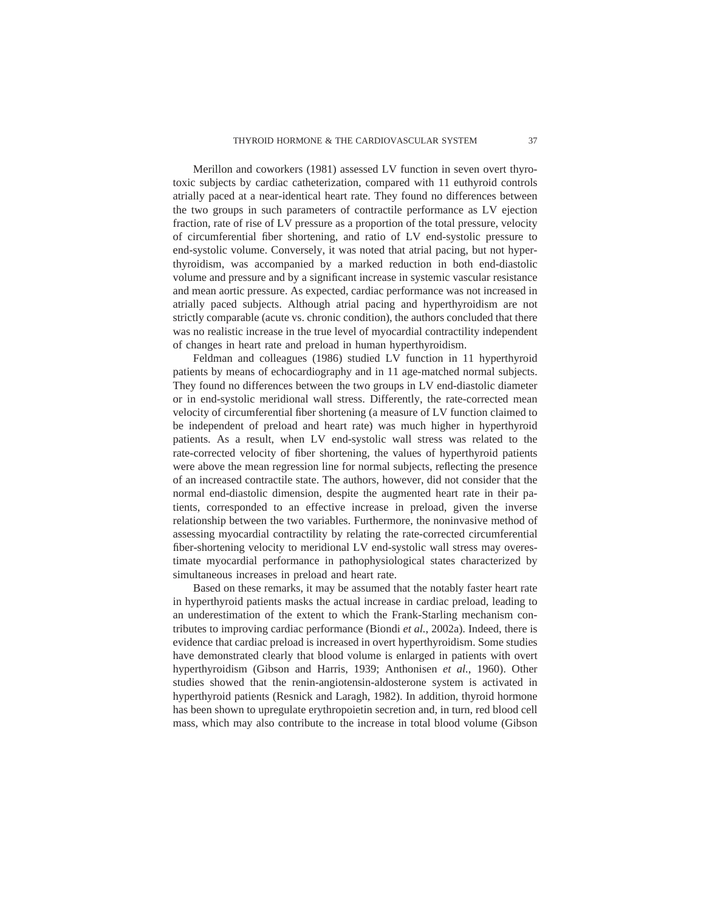Merillon and coworkers (1981) assessed LV function in seven overt thyrotoxic subjects by cardiac catheterization, compared with 11 euthyroid controls atrially paced at a near-identical heart rate. They found no differences between the two groups in such parameters of contractile performance as LV ejection fraction, rate of rise of LV pressure as a proportion of the total pressure, velocity of circumferential fiber shortening, and ratio of LV end-systolic pressure to end-systolic volume. Conversely, it was noted that atrial pacing, but not hyperthyroidism, was accompanied by a marked reduction in both end-diastolic volume and pressure and by a significant increase in systemic vascular resistance and mean aortic pressure. As expected, cardiac performance was not increased in atrially paced subjects. Although atrial pacing and hyperthyroidism are not strictly comparable (acute vs. chronic condition), the authors concluded that there was no realistic increase in the true level of myocardial contractility independent of changes in heart rate and preload in human hyperthyroidism.

Feldman and colleagues (1986) studied LV function in 11 hyperthyroid patients by means of echocardiography and in 11 age-matched normal subjects. They found no differences between the two groups in LV end-diastolic diameter or in end-systolic meridional wall stress. Differently, the rate-corrected mean velocity of circumferential fiber shortening (a measure of LV function claimed to be independent of preload and heart rate) was much higher in hyperthyroid patients. As a result, when LV end-systolic wall stress was related to the rate-corrected velocity of fiber shortening, the values of hyperthyroid patients were above the mean regression line for normal subjects, reflecting the presence of an increased contractile state. The authors, however, did not consider that the normal end-diastolic dimension, despite the augmented heart rate in their patients, corresponded to an effective increase in preload, given the inverse relationship between the two variables. Furthermore, the noninvasive method of assessing myocardial contractility by relating the rate-corrected circumferential fiber-shortening velocity to meridional LV end-systolic wall stress may overestimate myocardial performance in pathophysiological states characterized by simultaneous increases in preload and heart rate.

Based on these remarks, it may be assumed that the notably faster heart rate in hyperthyroid patients masks the actual increase in cardiac preload, leading to an underestimation of the extent to which the Frank-Starling mechanism contributes to improving cardiac performance (Biondi *et al.*, 2002a). Indeed, there is evidence that cardiac preload is increased in overt hyperthyroidism. Some studies have demonstrated clearly that blood volume is enlarged in patients with overt hyperthyroidism (Gibson and Harris, 1939; Anthonisen *et al.*, 1960). Other studies showed that the renin-angiotensin-aldosterone system is activated in hyperthyroid patients (Resnick and Laragh, 1982). In addition, thyroid hormone has been shown to upregulate erythropoietin secretion and, in turn, red blood cell mass, which may also contribute to the increase in total blood volume (Gibson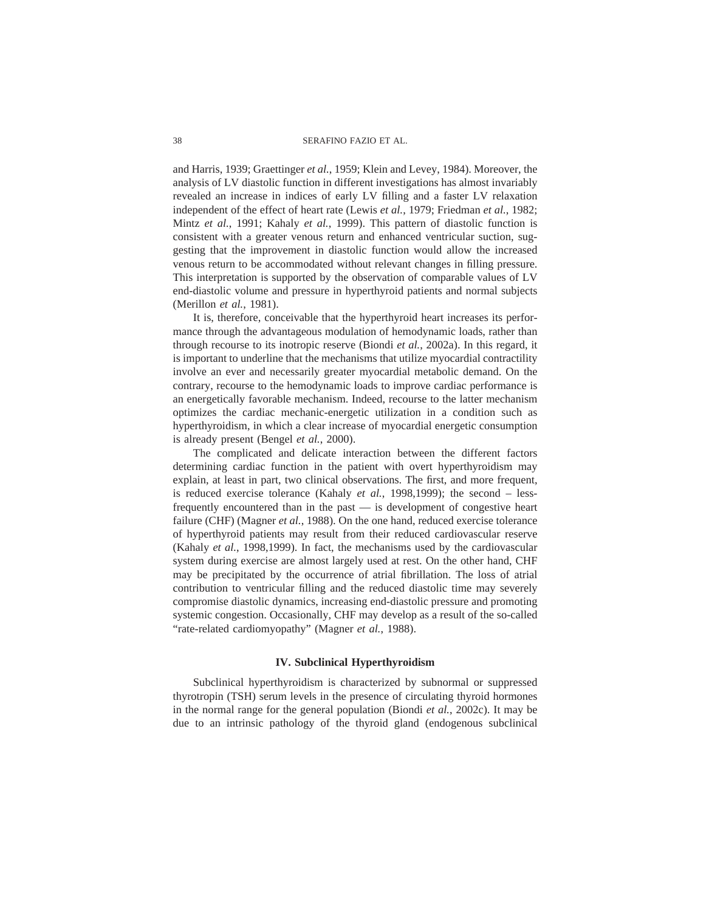and Harris, 1939; Graettinger *et al.*, 1959; Klein and Levey, 1984). Moreover, the analysis of LV diastolic function in different investigations has almost invariably revealed an increase in indices of early LV filling and a faster LV relaxation independent of the effect of heart rate (Lewis *et al.*, 1979; Friedman *et al.*, 1982; Mintz *et al.*, 1991; Kahaly *et al.*, 1999). This pattern of diastolic function is consistent with a greater venous return and enhanced ventricular suction, suggesting that the improvement in diastolic function would allow the increased venous return to be accommodated without relevant changes in filling pressure. This interpretation is supported by the observation of comparable values of LV end-diastolic volume and pressure in hyperthyroid patients and normal subjects (Merillon *et al.*, 1981).

It is, therefore, conceivable that the hyperthyroid heart increases its performance through the advantageous modulation of hemodynamic loads, rather than through recourse to its inotropic reserve (Biondi *et al.*, 2002a). In this regard, it is important to underline that the mechanisms that utilize myocardial contractility involve an ever and necessarily greater myocardial metabolic demand. On the contrary, recourse to the hemodynamic loads to improve cardiac performance is an energetically favorable mechanism. Indeed, recourse to the latter mechanism optimizes the cardiac mechanic-energetic utilization in a condition such as hyperthyroidism, in which a clear increase of myocardial energetic consumption is already present (Bengel *et al.*, 2000).

The complicated and delicate interaction between the different factors determining cardiac function in the patient with overt hyperthyroidism may explain, at least in part, two clinical observations. The first, and more frequent, is reduced exercise tolerance (Kahaly *et al.*, 1998,1999); the second – lessfrequently encountered than in the past — is development of congestive heart failure (CHF) (Magner *et al.*, 1988). On the one hand, reduced exercise tolerance of hyperthyroid patients may result from their reduced cardiovascular reserve (Kahaly *et al.*, 1998,1999). In fact, the mechanisms used by the cardiovascular system during exercise are almost largely used at rest. On the other hand, CHF may be precipitated by the occurrence of atrial fibrillation. The loss of atrial contribution to ventricular filling and the reduced diastolic time may severely compromise diastolic dynamics, increasing end-diastolic pressure and promoting systemic congestion. Occasionally, CHF may develop as a result of the so-called "rate-related cardiomyopathy" (Magner *et al.*, 1988).

# **IV. Subclinical Hyperthyroidism**

Subclinical hyperthyroidism is characterized by subnormal or suppressed thyrotropin (TSH) serum levels in the presence of circulating thyroid hormones in the normal range for the general population (Biondi *et al.*, 2002c). It may be due to an intrinsic pathology of the thyroid gland (endogenous subclinical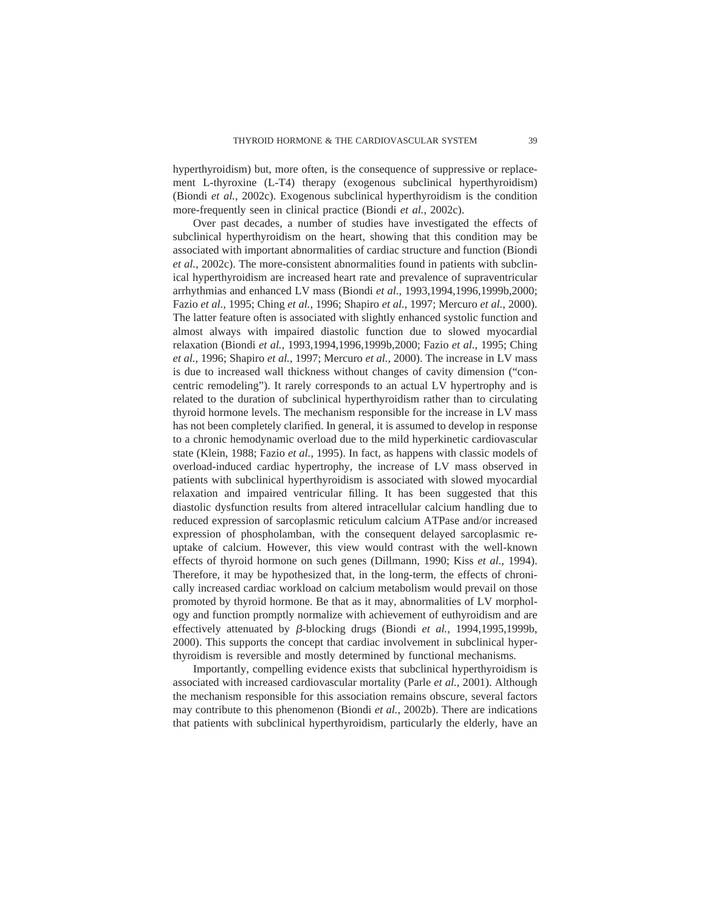hyperthyroidism) but, more often, is the consequence of suppressive or replacement L-thyroxine (L-T4) therapy (exogenous subclinical hyperthyroidism) (Biondi *et al.*, 2002c). Exogenous subclinical hyperthyroidism is the condition more-frequently seen in clinical practice (Biondi *et al.*, 2002c).

Over past decades, a number of studies have investigated the effects of subclinical hyperthyroidism on the heart, showing that this condition may be associated with important abnormalities of cardiac structure and function (Biondi *et al.*, 2002c). The more-consistent abnormalities found in patients with subclinical hyperthyroidism are increased heart rate and prevalence of supraventricular arrhythmias and enhanced LV mass (Biondi *et al.*, 1993,1994,1996,1999b,2000; Fazio *et al.*, 1995; Ching *et al.*, 1996; Shapiro *et al.*, 1997; Mercuro *et al.*, 2000). The latter feature often is associated with slightly enhanced systolic function and almost always with impaired diastolic function due to slowed myocardial relaxation (Biondi *et al.*, 1993,1994,1996,1999b,2000; Fazio *et al.*, 1995; Ching *et al.*, 1996; Shapiro *et al.*, 1997; Mercuro *et al.*, 2000). The increase in LV mass is due to increased wall thickness without changes of cavity dimension ("concentric remodeling"). It rarely corresponds to an actual LV hypertrophy and is related to the duration of subclinical hyperthyroidism rather than to circulating thyroid hormone levels. The mechanism responsible for the increase in LV mass has not been completely clarified. In general, it is assumed to develop in response to a chronic hemodynamic overload due to the mild hyperkinetic cardiovascular state (Klein, 1988; Fazio *et al.*, 1995). In fact, as happens with classic models of overload-induced cardiac hypertrophy, the increase of LV mass observed in patients with subclinical hyperthyroidism is associated with slowed myocardial relaxation and impaired ventricular filling. It has been suggested that this diastolic dysfunction results from altered intracellular calcium handling due to reduced expression of sarcoplasmic reticulum calcium ATPase and/or increased expression of phospholamban, with the consequent delayed sarcoplasmic reuptake of calcium. However, this view would contrast with the well-known effects of thyroid hormone on such genes (Dillmann, 1990; Kiss *et al.*, 1994). Therefore, it may be hypothesized that, in the long-term, the effects of chronically increased cardiac workload on calcium metabolism would prevail on those promoted by thyroid hormone. Be that as it may, abnormalities of LV morphology and function promptly normalize with achievement of euthyroidism and are effectively attenuated by  $\beta$ -blocking drugs (Biondi *et al.*, 1994,1995,1999b, 2000). This supports the concept that cardiac involvement in subclinical hyperthyroidism is reversible and mostly determined by functional mechanisms.

Importantly, compelling evidence exists that subclinical hyperthyroidism is associated with increased cardiovascular mortality (Parle *et al.*, 2001). Although the mechanism responsible for this association remains obscure, several factors may contribute to this phenomenon (Biondi *et al.*, 2002b). There are indications that patients with subclinical hyperthyroidism, particularly the elderly, have an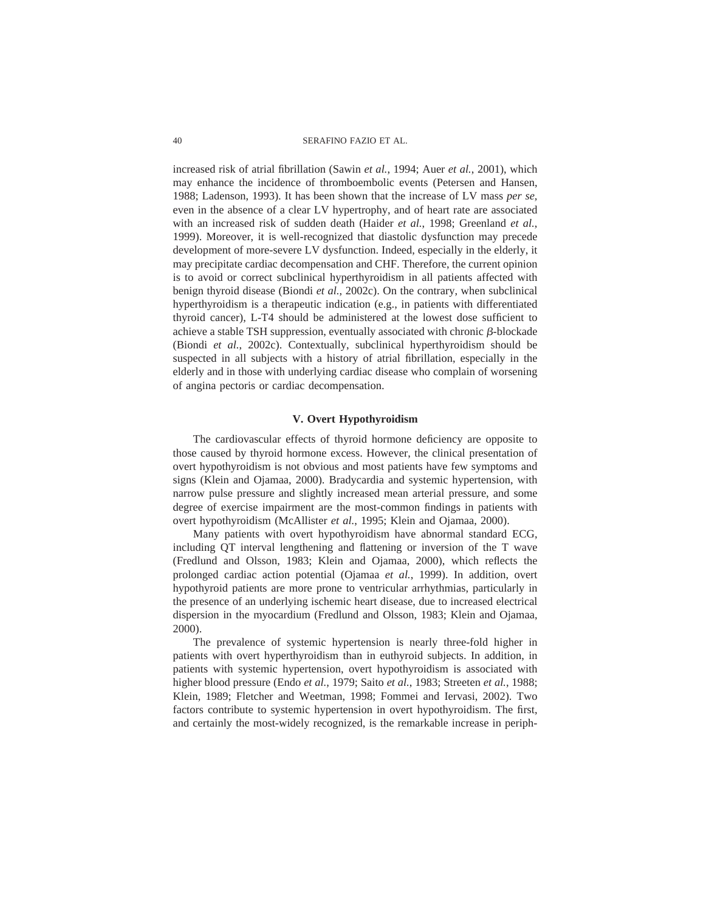increased risk of atrial fibrillation (Sawin *et al.*, 1994; Auer *et al.*, 2001), which may enhance the incidence of thromboembolic events (Petersen and Hansen, 1988; Ladenson, 1993). It has been shown that the increase of LV mass *per se,* even in the absence of a clear LV hypertrophy, and of heart rate are associated with an increased risk of sudden death (Haider *et al.*, 1998; Greenland *et al.*, 1999). Moreover, it is well-recognized that diastolic dysfunction may precede development of more-severe LV dysfunction. Indeed, especially in the elderly, it may precipitate cardiac decompensation and CHF. Therefore, the current opinion is to avoid or correct subclinical hyperthyroidism in all patients affected with benign thyroid disease (Biondi *et al.*, 2002c). On the contrary, when subclinical hyperthyroidism is a therapeutic indication (e.g., in patients with differentiated thyroid cancer), L-T4 should be administered at the lowest dose sufficient to achieve a stable TSH suppression, eventually associated with chronic  $\beta$ -blockade (Biondi *et al.*, 2002c). Contextually, subclinical hyperthyroidism should be suspected in all subjects with a history of atrial fibrillation, especially in the elderly and in those with underlying cardiac disease who complain of worsening of angina pectoris or cardiac decompensation.

## **V. Overt Hypothyroidism**

The cardiovascular effects of thyroid hormone deficiency are opposite to those caused by thyroid hormone excess. However, the clinical presentation of overt hypothyroidism is not obvious and most patients have few symptoms and signs (Klein and Ojamaa, 2000). Bradycardia and systemic hypertension, with narrow pulse pressure and slightly increased mean arterial pressure, and some degree of exercise impairment are the most-common findings in patients with overt hypothyroidism (McAllister *et al.*, 1995; Klein and Ojamaa, 2000).

Many patients with overt hypothyroidism have abnormal standard ECG, including QT interval lengthening and flattening or inversion of the T wave (Fredlund and Olsson, 1983; Klein and Ojamaa, 2000), which reflects the prolonged cardiac action potential (Ojamaa *et al.*, 1999). In addition, overt hypothyroid patients are more prone to ventricular arrhythmias, particularly in the presence of an underlying ischemic heart disease, due to increased electrical dispersion in the myocardium (Fredlund and Olsson, 1983; Klein and Ojamaa, 2000).

The prevalence of systemic hypertension is nearly three-fold higher in patients with overt hyperthyroidism than in euthyroid subjects. In addition, in patients with systemic hypertension, overt hypothyroidism is associated with higher blood pressure (Endo *et al.*, 1979; Saito *et al.*, 1983; Streeten *et al.*, 1988; Klein, 1989; Fletcher and Weetman, 1998; Fommei and Iervasi, 2002). Two factors contribute to systemic hypertension in overt hypothyroidism. The first, and certainly the most-widely recognized, is the remarkable increase in periph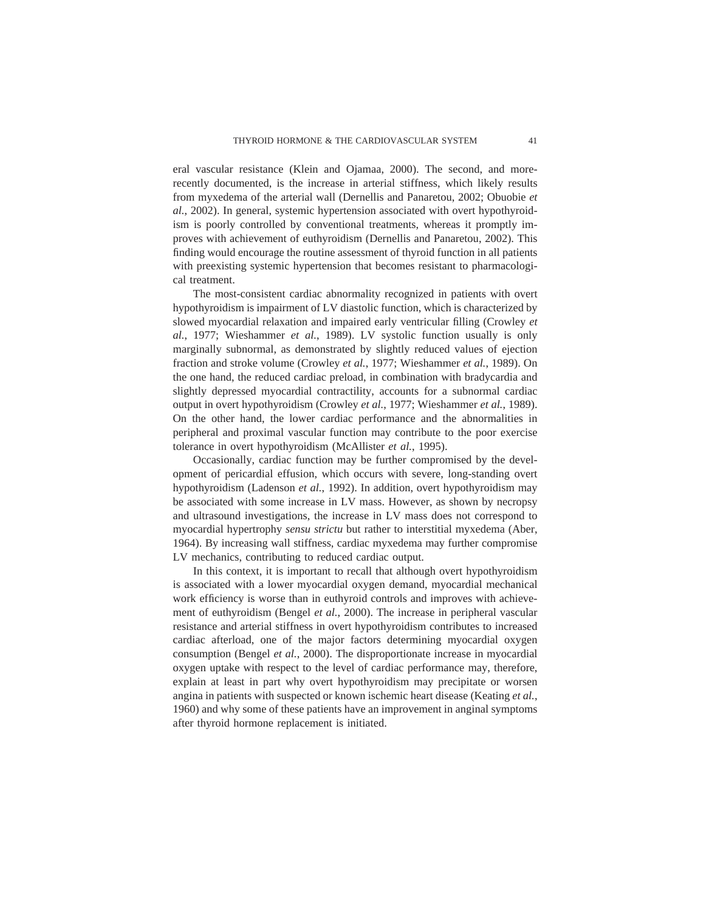eral vascular resistance (Klein and Ojamaa, 2000). The second, and morerecently documented, is the increase in arterial stiffness, which likely results from myxedema of the arterial wall (Dernellis and Panaretou, 2002; Obuobie *et al.*, 2002). In general, systemic hypertension associated with overt hypothyroidism is poorly controlled by conventional treatments, whereas it promptly improves with achievement of euthyroidism (Dernellis and Panaretou, 2002). This finding would encourage the routine assessment of thyroid function in all patients with preexisting systemic hypertension that becomes resistant to pharmacological treatment.

The most-consistent cardiac abnormality recognized in patients with overt hypothyroidism is impairment of LV diastolic function, which is characterized by slowed myocardial relaxation and impaired early ventricular filling (Crowley *et al.*, 1977; Wieshammer *et al.*, 1989). LV systolic function usually is only marginally subnormal, as demonstrated by slightly reduced values of ejection fraction and stroke volume (Crowley *et al.*, 1977; Wieshammer *et al.*, 1989). On the one hand, the reduced cardiac preload, in combination with bradycardia and slightly depressed myocardial contractility, accounts for a subnormal cardiac output in overt hypothyroidism (Crowley *et al.*, 1977; Wieshammer *et al.*, 1989). On the other hand, the lower cardiac performance and the abnormalities in peripheral and proximal vascular function may contribute to the poor exercise tolerance in overt hypothyroidism (McAllister *et al.*, 1995).

Occasionally, cardiac function may be further compromised by the development of pericardial effusion, which occurs with severe, long-standing overt hypothyroidism (Ladenson *et al.*, 1992). In addition, overt hypothyroidism may be associated with some increase in LV mass. However, as shown by necropsy and ultrasound investigations, the increase in LV mass does not correspond to myocardial hypertrophy *sensu strictu* but rather to interstitial myxedema (Aber, 1964). By increasing wall stiffness, cardiac myxedema may further compromise LV mechanics, contributing to reduced cardiac output.

In this context, it is important to recall that although overt hypothyroidism is associated with a lower myocardial oxygen demand, myocardial mechanical work efficiency is worse than in euthyroid controls and improves with achievement of euthyroidism (Bengel *et al.*, 2000). The increase in peripheral vascular resistance and arterial stiffness in overt hypothyroidism contributes to increased cardiac afterload, one of the major factors determining myocardial oxygen consumption (Bengel *et al.*, 2000). The disproportionate increase in myocardial oxygen uptake with respect to the level of cardiac performance may, therefore, explain at least in part why overt hypothyroidism may precipitate or worsen angina in patients with suspected or known ischemic heart disease (Keating *et al.*, 1960) and why some of these patients have an improvement in anginal symptoms after thyroid hormone replacement is initiated.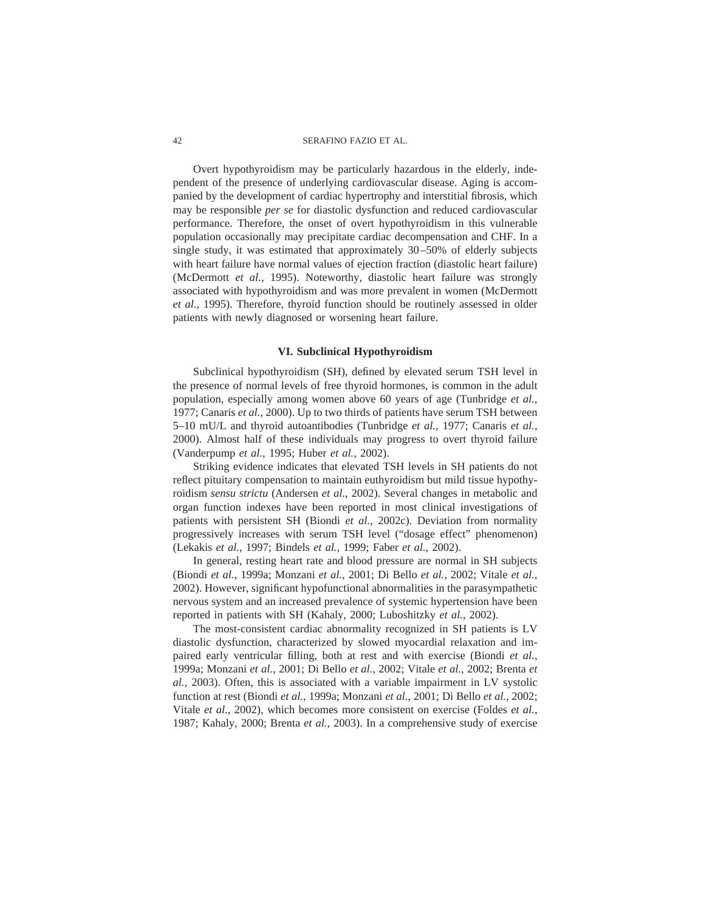Overt hypothyroidism may be particularly hazardous in the elderly, independent of the presence of underlying cardiovascular disease. Aging is accompanied by the development of cardiac hypertrophy and interstitial fibrosis, which may be responsible *per se* for diastolic dysfunction and reduced cardiovascular performance. Therefore, the onset of overt hypothyroidism in this vulnerable population occasionally may precipitate cardiac decompensation and CHF. In a single study, it was estimated that approximately 30–50% of elderly subjects with heart failure have normal values of ejection fraction (diastolic heart failure) (McDermott *et al.*, 1995). Noteworthy, diastolic heart failure was strongly associated with hypothyroidism and was more prevalent in women (McDermott *et al.*, 1995). Therefore, thyroid function should be routinely assessed in older patients with newly diagnosed or worsening heart failure.

### **VI. Subclinical Hypothyroidism**

Subclinical hypothyroidism (SH), defined by elevated serum TSH level in the presence of normal levels of free thyroid hormones, is common in the adult population, especially among women above 60 years of age (Tunbridge *et al.*, 1977; Canaris *et al.*, 2000). Up to two thirds of patients have serum TSH between 5–10 mU/L and thyroid autoantibodies (Tunbridge *et al.*, 1977; Canaris *et al.*, 2000). Almost half of these individuals may progress to overt thyroid failure (Vanderpump *et al.*, 1995; Huber *et al.*, 2002).

Striking evidence indicates that elevated TSH levels in SH patients do not reflect pituitary compensation to maintain euthyroidism but mild tissue hypothyroidism *sensu strictu* (Andersen *et al.*, 2002). Several changes in metabolic and organ function indexes have been reported in most clinical investigations of patients with persistent SH (Biondi *et al.*, 2002c). Deviation from normality progressively increases with serum TSH level ("dosage effect" phenomenon) (Lekakis *et al.*, 1997; Bindels *et al.*, 1999; Faber *et al.*, 2002).

In general, resting heart rate and blood pressure are normal in SH subjects (Biondi *et al.*, 1999a; Monzani *et al.*, 2001; Di Bello *et al.*, 2002; Vitale *et al.*, 2002). However, significant hypofunctional abnormalities in the parasympathetic nervous system and an increased prevalence of systemic hypertension have been reported in patients with SH (Kahaly, 2000; Luboshitzky *et al.*, 2002).

The most-consistent cardiac abnormality recognized in SH patients is LV diastolic dysfunction, characterized by slowed myocardial relaxation and impaired early ventricular filling, both at rest and with exercise (Biondi *et al.*, 1999a; Monzani *et al.*, 2001; Di Bello *et al.*, 2002; Vitale *et al.*, 2002; Brenta *et al.*, 2003). Often, this is associated with a variable impairment in LV systolic function at rest (Biondi *et al.*, 1999a; Monzani *et al.*, 2001; Di Bello *et al.*, 2002; Vitale *et al.*, 2002), which becomes more consistent on exercise (Foldes *et al.*, 1987; Kahaly, 2000; Brenta *et al.*, 2003). In a comprehensive study of exercise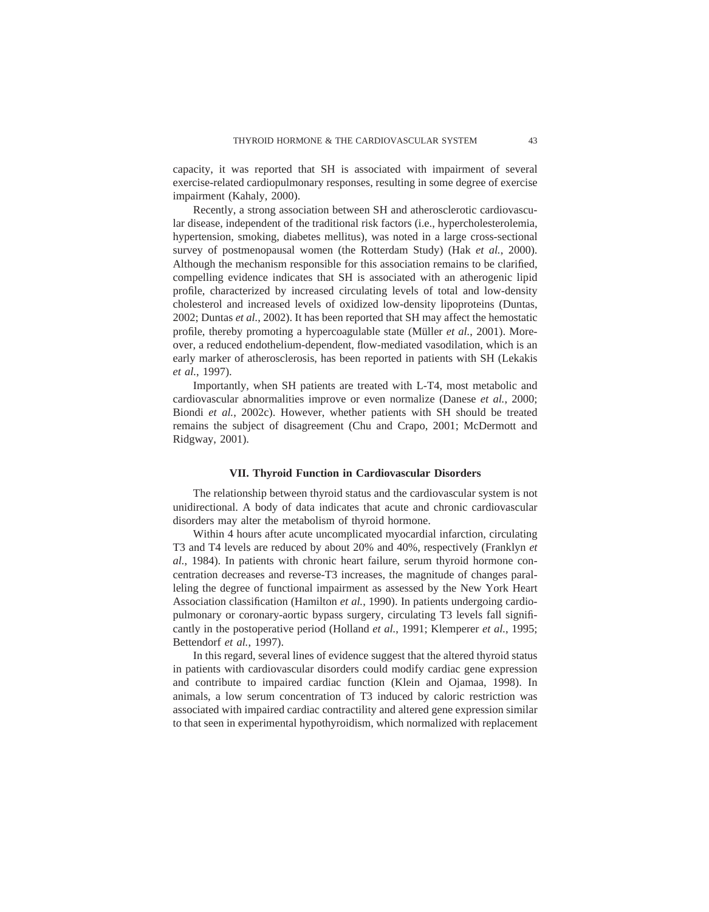capacity, it was reported that SH is associated with impairment of several exercise-related cardiopulmonary responses, resulting in some degree of exercise impairment (Kahaly, 2000).

Recently, a strong association between SH and atherosclerotic cardiovascular disease, independent of the traditional risk factors (i.e., hypercholesterolemia, hypertension, smoking, diabetes mellitus), was noted in a large cross-sectional survey of postmenopausal women (the Rotterdam Study) (Hak *et al.*, 2000). Although the mechanism responsible for this association remains to be clarified, compelling evidence indicates that SH is associated with an atherogenic lipid profile, characterized by increased circulating levels of total and low-density cholesterol and increased levels of oxidized low-density lipoproteins (Duntas, 2002; Duntas *et al.*, 2002). It has been reported that SH may affect the hemostatic profile, thereby promoting a hypercoagulable state (Müller et al., 2001). Moreover, a reduced endothelium-dependent, flow-mediated vasodilation, which is an early marker of atherosclerosis, has been reported in patients with SH (Lekakis *et al.*, 1997).

Importantly, when SH patients are treated with L-T4, most metabolic and cardiovascular abnormalities improve or even normalize (Danese *et al.*, 2000; Biondi *et al.*, 2002c). However, whether patients with SH should be treated remains the subject of disagreement (Chu and Crapo, 2001; McDermott and Ridgway, 2001).

### **VII. Thyroid Function in Cardiovascular Disorders**

The relationship between thyroid status and the cardiovascular system is not unidirectional. A body of data indicates that acute and chronic cardiovascular disorders may alter the metabolism of thyroid hormone.

Within 4 hours after acute uncomplicated myocardial infarction, circulating T3 and T4 levels are reduced by about 20% and 40%, respectively (Franklyn *et al.*, 1984). In patients with chronic heart failure, serum thyroid hormone concentration decreases and reverse-T3 increases, the magnitude of changes paralleling the degree of functional impairment as assessed by the New York Heart Association classification (Hamilton *et al.*, 1990). In patients undergoing cardiopulmonary or coronary-aortic bypass surgery, circulating T3 levels fall significantly in the postoperative period (Holland *et al.*, 1991; Klemperer *et al.*, 1995; Bettendorf *et al.*, 1997).

In this regard, several lines of evidence suggest that the altered thyroid status in patients with cardiovascular disorders could modify cardiac gene expression and contribute to impaired cardiac function (Klein and Ojamaa, 1998). In animals, a low serum concentration of T3 induced by caloric restriction was associated with impaired cardiac contractility and altered gene expression similar to that seen in experimental hypothyroidism, which normalized with replacement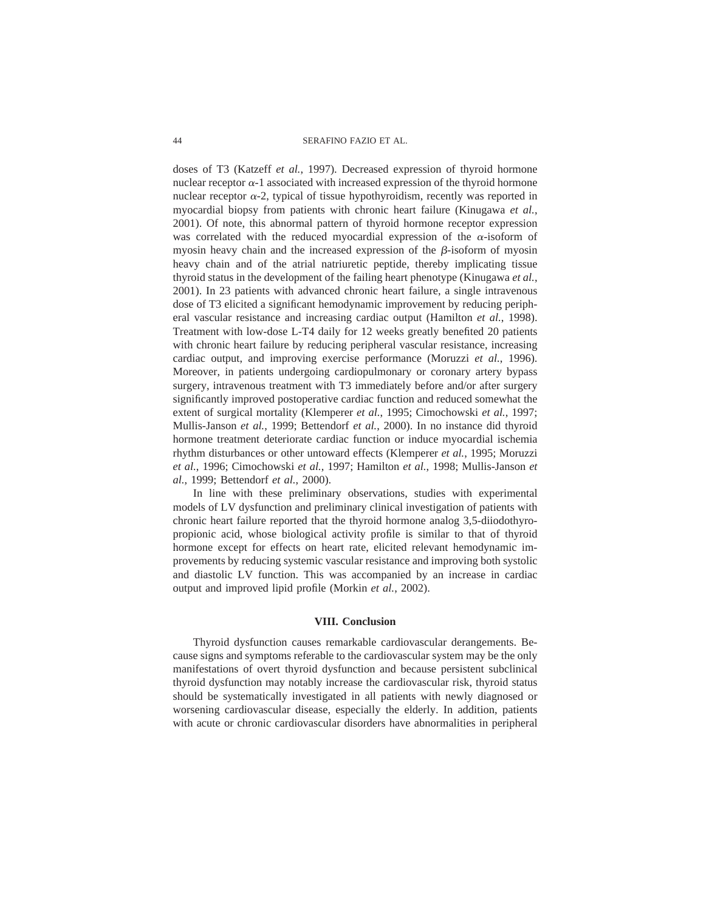doses of T3 (Katzeff *et al.*, 1997). Decreased expression of thyroid hormone nuclear receptor  $\alpha$ -1 associated with increased expression of the thyroid hormone nuclear receptor  $\alpha$ -2, typical of tissue hypothyroidism, recently was reported in myocardial biopsy from patients with chronic heart failure (Kinugawa *et al.*, 2001). Of note, this abnormal pattern of thyroid hormone receptor expression was correlated with the reduced myocardial expression of the  $\alpha$ -isoform of myosin heavy chain and the increased expression of the  $\beta$ -isoform of myosin heavy chain and of the atrial natriuretic peptide, thereby implicating tissue thyroid status in the development of the failing heart phenotype (Kinugawa *et al.*, 2001). In 23 patients with advanced chronic heart failure, a single intravenous dose of T3 elicited a significant hemodynamic improvement by reducing peripheral vascular resistance and increasing cardiac output (Hamilton *et al.*, 1998). Treatment with low-dose L-T4 daily for 12 weeks greatly benefited 20 patients with chronic heart failure by reducing peripheral vascular resistance, increasing cardiac output, and improving exercise performance (Moruzzi *et al.*, 1996). Moreover, in patients undergoing cardiopulmonary or coronary artery bypass surgery, intravenous treatment with T3 immediately before and/or after surgery significantly improved postoperative cardiac function and reduced somewhat the extent of surgical mortality (Klemperer *et al.*, 1995; Cimochowski *et al.*, 1997; Mullis-Janson *et al.*, 1999; Bettendorf *et al.*, 2000). In no instance did thyroid hormone treatment deteriorate cardiac function or induce myocardial ischemia rhythm disturbances or other untoward effects (Klemperer *et al.*, 1995; Moruzzi *et al.*, 1996; Cimochowski *et al.*, 1997; Hamilton *et al.*, 1998; Mullis-Janson *et al.*, 1999; Bettendorf *et al.*, 2000).

In line with these preliminary observations, studies with experimental models of LV dysfunction and preliminary clinical investigation of patients with chronic heart failure reported that the thyroid hormone analog 3,5-diiodothyropropionic acid, whose biological activity profile is similar to that of thyroid hormone except for effects on heart rate, elicited relevant hemodynamic improvements by reducing systemic vascular resistance and improving both systolic and diastolic LV function. This was accompanied by an increase in cardiac output and improved lipid profile (Morkin *et al.*, 2002).

### **VIII. Conclusion**

Thyroid dysfunction causes remarkable cardiovascular derangements. Because signs and symptoms referable to the cardiovascular system may be the only manifestations of overt thyroid dysfunction and because persistent subclinical thyroid dysfunction may notably increase the cardiovascular risk, thyroid status should be systematically investigated in all patients with newly diagnosed or worsening cardiovascular disease, especially the elderly. In addition, patients with acute or chronic cardiovascular disorders have abnormalities in peripheral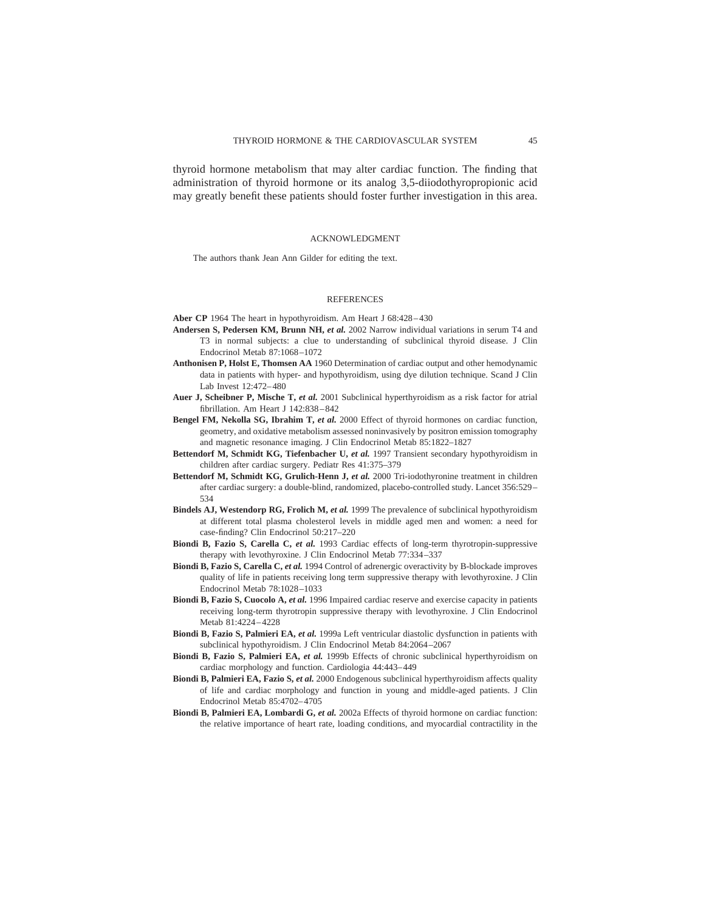thyroid hormone metabolism that may alter cardiac function. The finding that administration of thyroid hormone or its analog 3,5-diiodothyropropionic acid may greatly benefit these patients should foster further investigation in this area.

#### ACKNOWLEDGMENT

The authors thank Jean Ann Gilder for editing the text.

#### **REFERENCES**

- **Aber CP** 1964 The heart in hypothyroidism. Am Heart J 68:428–430
- **Andersen S, Pedersen KM, Brunn NH,** *et al.* 2002 Narrow individual variations in serum T4 and T3 in normal subjects: a clue to understanding of subclinical thyroid disease. J Clin Endocrinol Metab 87:1068–1072
- **Anthonisen P, Holst E, Thomsen AA** 1960 Determination of cardiac output and other hemodynamic data in patients with hyper- and hypothyroidism, using dye dilution technique. Scand J Clin Lab Invest 12:472–480
- **Auer J, Scheibner P, Mische T,** *et al.* 2001 Subclinical hyperthyroidism as a risk factor for atrial fibrillation. Am Heart J 142:838–842
- **Bengel FM, Nekolla SG, Ibrahim T,** *et al.* 2000 Effect of thyroid hormones on cardiac function, geometry, and oxidative metabolism assessed noninvasively by positron emission tomography and magnetic resonance imaging. J Clin Endocrinol Metab 85:1822–1827
- **Bettendorf M, Schmidt KG, Tiefenbacher U,** *et al.* 1997 Transient secondary hypothyroidism in children after cardiac surgery. Pediatr Res 41:375–379
- **Bettendorf M, Schmidt KG, Grulich-Henn J,** *et al.* 2000 Tri-iodothyronine treatment in children after cardiac surgery: a double-blind, randomized, placebo-controlled study. Lancet 356:529– 534
- **Bindels AJ, Westendorp RG, Frolich M,** *et al.* 1999 The prevalence of subclinical hypothyroidism at different total plasma cholesterol levels in middle aged men and women: a need for case-finding? Clin Endocrinol 50:217–220
- **Biondi B, Fazio S, Carella C,** *et al.* 1993 Cardiac effects of long-term thyrotropin-suppressive therapy with levothyroxine. J Clin Endocrinol Metab 77:334–337
- **Biondi B, Fazio S, Carella C,** *et al.* 1994 Control of adrenergic overactivity by B-blockade improves quality of life in patients receiving long term suppressive therapy with levothyroxine. J Clin Endocrinol Metab 78:1028–1033
- **Biondi B, Fazio S, Cuocolo A,** *et al.* 1996 Impaired cardiac reserve and exercise capacity in patients receiving long-term thyrotropin suppressive therapy with levothyroxine. J Clin Endocrinol Metab 81:4224–4228
- **Biondi B, Fazio S, Palmieri EA,** *et al.* 1999a Left ventricular diastolic dysfunction in patients with subclinical hypothyroidism. J Clin Endocrinol Metab 84:2064–2067
- **Biondi B, Fazio S, Palmieri EA,** *et al.* 1999b Effects of chronic subclinical hyperthyroidism on cardiac morphology and function. Cardiologia 44:443–449
- **Biondi B, Palmieri EA, Fazio S,** *et al.* 2000 Endogenous subclinical hyperthyroidism affects quality of life and cardiac morphology and function in young and middle-aged patients. J Clin Endocrinol Metab 85:4702–4705
- **Biondi B, Palmieri EA, Lombardi G,** *et al.* 2002a Effects of thyroid hormone on cardiac function: the relative importance of heart rate, loading conditions, and myocardial contractility in the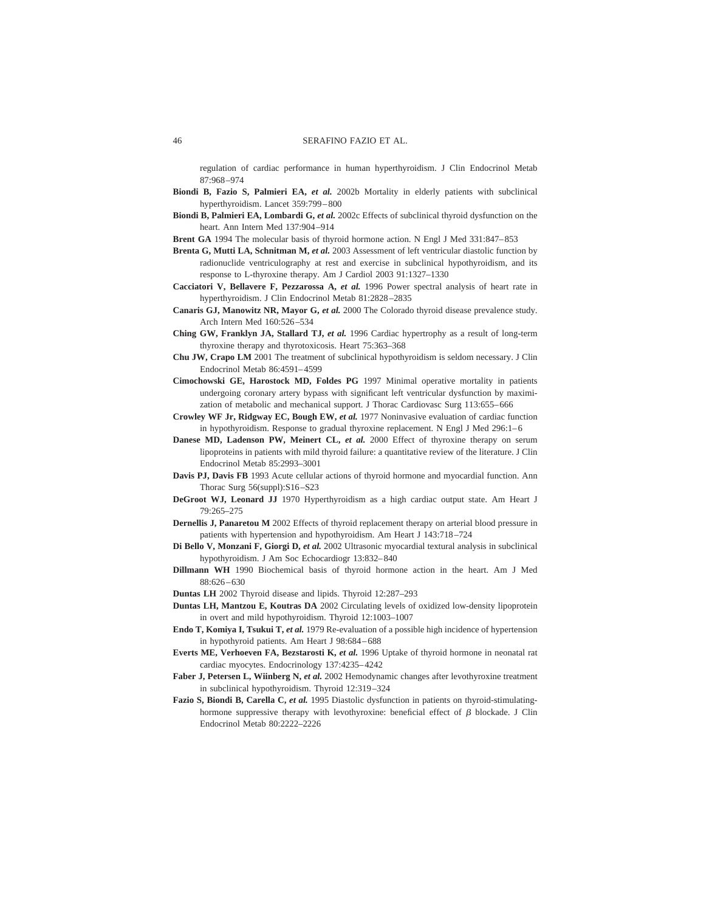regulation of cardiac performance in human hyperthyroidism. J Clin Endocrinol Metab 87:968–974

- **Biondi B, Fazio S, Palmieri EA,** *et al.* 2002b Mortality in elderly patients with subclinical hyperthyroidism. Lancet 359:799–800
- **Biondi B, Palmieri EA, Lombardi G,** *et al.* 2002c Effects of subclinical thyroid dysfunction on the heart. Ann Intern Med 137:904–914
- **Brent GA** 1994 The molecular basis of thyroid hormone action. N Engl J Med 331:847–853
- **Brenta G, Mutti LA, Schnitman M,** *et al.* 2003 Assessment of left ventricular diastolic function by radionuclide ventriculography at rest and exercise in subclinical hypothyroidism, and its response to L-thyroxine therapy. Am J Cardiol 2003 91:1327–1330
- **Cacciatori V, Bellavere F, Pezzarossa A,** *et al.* 1996 Power spectral analysis of heart rate in hyperthyroidism. J Clin Endocrinol Metab 81:2828–2835
- **Canaris GJ, Manowitz NR, Mayor G,** *et al.* 2000 The Colorado thyroid disease prevalence study. Arch Intern Med 160:526–534
- **Ching GW, Franklyn JA, Stallard TJ,** *et al.* 1996 Cardiac hypertrophy as a result of long-term thyroxine therapy and thyrotoxicosis. Heart 75:363–368
- **Chu JW, Crapo LM** 2001 The treatment of subclinical hypothyroidism is seldom necessary. J Clin Endocrinol Metab 86:4591–4599
- **Cimochowski GE, Harostock MD, Foldes PG** 1997 Minimal operative mortality in patients undergoing coronary artery bypass with significant left ventricular dysfunction by maximization of metabolic and mechanical support. J Thorac Cardiovasc Surg 113:655–666
- **Crowley WF Jr, Ridgway EC, Bough EW,** *et al.* 1977 Noninvasive evaluation of cardiac function in hypothyroidism. Response to gradual thyroxine replacement. N Engl J Med 296:1–6
- **Danese MD, Ladenson PW, Meinert CL,** *et al.* 2000 Effect of thyroxine therapy on serum lipoproteins in patients with mild thyroid failure: a quantitative review of the literature. J Clin Endocrinol Metab 85:2993–3001
- **Davis PJ, Davis FB** 1993 Acute cellular actions of thyroid hormone and myocardial function. Ann Thorac Surg 56(suppl):S16–S23
- **DeGroot WJ, Leonard JJ** 1970 Hyperthyroidism as a high cardiac output state. Am Heart J 79:265–275
- **Dernellis J, Panaretou M** 2002 Effects of thyroid replacement therapy on arterial blood pressure in patients with hypertension and hypothyroidism. Am Heart J 143:718–724
- **Di Bello V, Monzani F, Giorgi D,** *et al.* 2002 Ultrasonic myocardial textural analysis in subclinical hypothyroidism. J Am Soc Echocardiogr 13:832–840
- **Dillmann WH** 1990 Biochemical basis of thyroid hormone action in the heart. Am J Med 88:626–630
- **Duntas LH** 2002 Thyroid disease and lipids. Thyroid 12:287–293
- **Duntas LH, Mantzou E, Koutras DA** 2002 Circulating levels of oxidized low-density lipoprotein in overt and mild hypothyroidism. Thyroid 12:1003–1007
- **Endo T, Komiya I, Tsukui T,** *et al.* 1979 Re-evaluation of a possible high incidence of hypertension in hypothyroid patients. Am Heart J 98:684–688
- **Everts ME, Verhoeven FA, Bezstarosti K,** *et al.* 1996 Uptake of thyroid hormone in neonatal rat cardiac myocytes. Endocrinology 137:4235–4242
- **Faber J, Petersen L, Wiinberg N,** *et al.* 2002 Hemodynamic changes after levothyroxine treatment in subclinical hypothyroidism. Thyroid 12:319–324
- **Fazio S, Biondi B, Carella C,** *et al.* 1995 Diastolic dysfunction in patients on thyroid-stimulatinghormone suppressive therapy with levothyroxine: beneficial effect of  $\beta$  blockade. J Clin Endocrinol Metab 80:2222–2226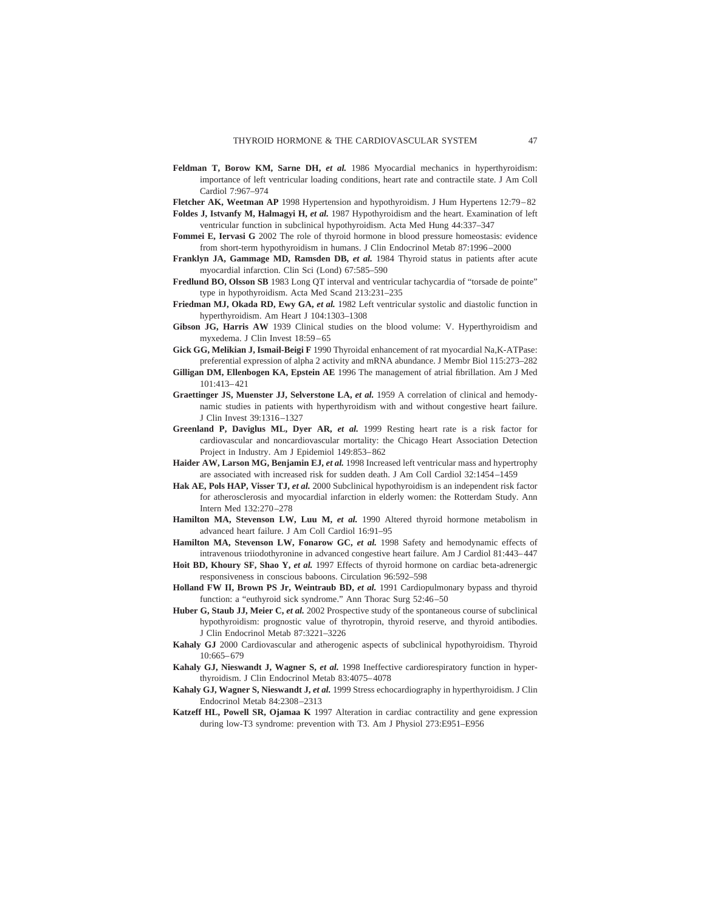**Feldman T, Borow KM, Sarne DH,** *et al.* 1986 Myocardial mechanics in hyperthyroidism: importance of left ventricular loading conditions, heart rate and contractile state. J Am Coll Cardiol 7:967–974

**Fletcher AK, Weetman AP** 1998 Hypertension and hypothyroidism. J Hum Hypertens 12:79–82

- **Foldes J, Istvanfy M, Halmagyi H,** *et al.* 1987 Hypothyroidism and the heart. Examination of left ventricular function in subclinical hypothyroidism. Acta Med Hung 44:337–347
- **Fommei E, Iervasi G** 2002 The role of thyroid hormone in blood pressure homeostasis: evidence from short-term hypothyroidism in humans. J Clin Endocrinol Metab 87:1996–2000
- **Franklyn JA, Gammage MD, Ramsden DB,** *et al.* 1984 Thyroid status in patients after acute myocardial infarction. Clin Sci (Lond) 67:585–590
- **Fredlund BO, Olsson SB** 1983 Long QT interval and ventricular tachycardia of "torsade de pointe" type in hypothyroidism. Acta Med Scand 213:231–235
- **Friedman MJ, Okada RD, Ewy GA,** *et al.* 1982 Left ventricular systolic and diastolic function in hyperthyroidism. Am Heart J 104:1303–1308
- **Gibson JG, Harris AW** 1939 Clinical studies on the blood volume: V. Hyperthyroidism and myxedema. J Clin Invest 18:59–65
- **Gick GG, Melikian J, Ismail-Beigi F** 1990 Thyroidal enhancement of rat myocardial Na,K-ATPase: preferential expression of alpha 2 activity and mRNA abundance. J Membr Biol 115:273–282
- **Gilligan DM, Ellenbogen KA, Epstein AE** 1996 The management of atrial fibrillation. Am J Med 101:413–421
- **Graettinger JS, Muenster JJ, Selverstone LA,** *et al.* 1959 A correlation of clinical and hemodynamic studies in patients with hyperthyroidism with and without congestive heart failure. J Clin Invest 39:1316–1327
- **Greenland P, Daviglus ML, Dyer AR,** *et al.* 1999 Resting heart rate is a risk factor for cardiovascular and noncardiovascular mortality: the Chicago Heart Association Detection Project in Industry. Am J Epidemiol 149:853–862
- **Haider AW, Larson MG, Benjamin EJ,** *et al.* 1998 Increased left ventricular mass and hypertrophy are associated with increased risk for sudden death. J Am Coll Cardiol 32:1454–1459
- **Hak AE, Pols HAP, Visser TJ,** *et al.* 2000 Subclinical hypothyroidism is an independent risk factor for atherosclerosis and myocardial infarction in elderly women: the Rotterdam Study. Ann Intern Med 132:270–278
- **Hamilton MA, Stevenson LW, Luu M,** *et al.* 1990 Altered thyroid hormone metabolism in advanced heart failure. J Am Coll Cardiol 16:91–95
- **Hamilton MA, Stevenson LW, Fonarow GC,** *et al.* 1998 Safety and hemodynamic effects of intravenous triiodothyronine in advanced congestive heart failure. Am J Cardiol 81:443–447
- **Hoit BD, Khoury SF, Shao Y,** *et al.* 1997 Effects of thyroid hormone on cardiac beta-adrenergic responsiveness in conscious baboons. Circulation 96:592–598
- **Holland FW II, Brown PS Jr, Weintraub BD,** *et al.* 1991 Cardiopulmonary bypass and thyroid function: a "euthyroid sick syndrome." Ann Thorac Surg 52:46–50
- **Huber G, Staub JJ, Meier C,** *et al.* 2002 Prospective study of the spontaneous course of subclinical hypothyroidism: prognostic value of thyrotropin, thyroid reserve, and thyroid antibodies. J Clin Endocrinol Metab 87:3221–3226
- **Kahaly GJ** 2000 Cardiovascular and atherogenic aspects of subclinical hypothyroidism. Thyroid 10:665–679
- **Kahaly GJ, Nieswandt J, Wagner S,** *et al.* 1998 Ineffective cardiorespiratory function in hyperthyroidism. J Clin Endocrinol Metab 83:4075–4078
- **Kahaly GJ, Wagner S, Nieswandt J,** *et al.* 1999 Stress echocardiography in hyperthyroidism. J Clin Endocrinol Metab 84:2308–2313
- **Katzeff HL, Powell SR, Ojamaa K** 1997 Alteration in cardiac contractility and gene expression during low-T3 syndrome: prevention with T3. Am J Physiol 273:E951–E956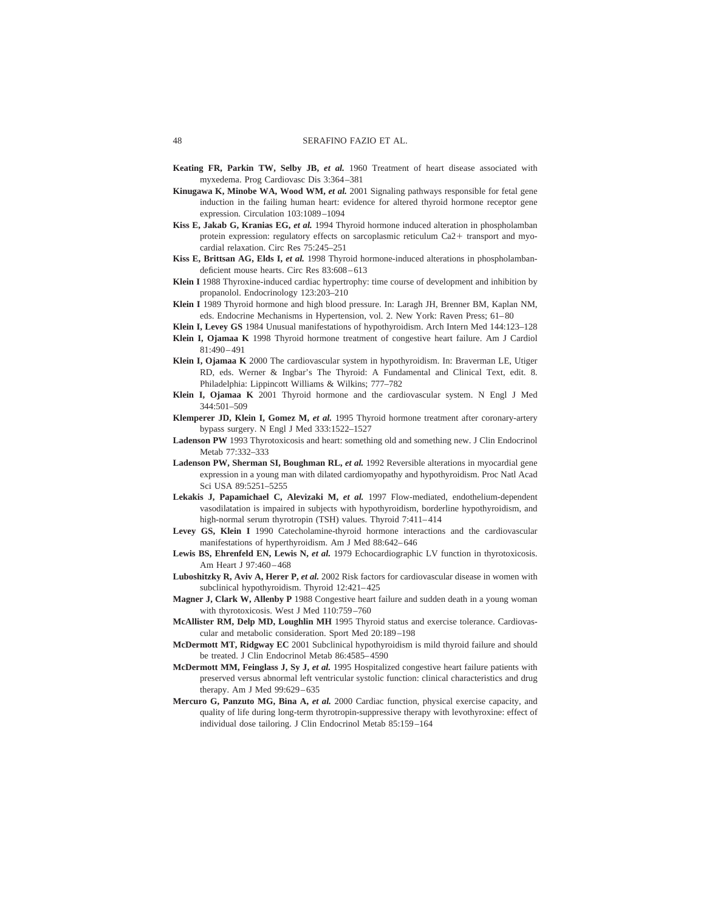- **Keating FR, Parkin TW, Selby JB,** *et al.* 1960 Treatment of heart disease associated with myxedema. Prog Cardiovasc Dis 3:364–381
- **Kinugawa K, Minobe WA, Wood WM,** *et al.* 2001 Signaling pathways responsible for fetal gene induction in the failing human heart: evidence for altered thyroid hormone receptor gene expression. Circulation 103:1089–1094
- **Kiss E, Jakab G, Kranias EG,** *et al.* 1994 Thyroid hormone induced alteration in phospholamban protein expression: regulatory effects on sarcoplasmic reticulum  $Ca2+$  transport and myocardial relaxation. Circ Res 75:245–251
- **Kiss E, Brittsan AG, Elds I,** *et al.* 1998 Thyroid hormone-induced alterations in phospholambandeficient mouse hearts. Circ Res 83:608–613
- **Klein I** 1988 Thyroxine-induced cardiac hypertrophy: time course of development and inhibition by propanolol. Endocrinology 123:203–210
- **Klein I** 1989 Thyroid hormone and high blood pressure. In: Laragh JH, Brenner BM, Kaplan NM, eds. Endocrine Mechanisms in Hypertension, vol. 2. New York: Raven Press; 61–80
- **Klein I, Levey GS** 1984 Unusual manifestations of hypothyroidism. Arch Intern Med 144:123–128
- **Klein I, Ojamaa K** 1998 Thyroid hormone treatment of congestive heart failure. Am J Cardiol 81:490–491
- **Klein I, Ojamaa K** 2000 The cardiovascular system in hypothyroidism. In: Braverman LE, Utiger RD, eds. Werner & Ingbar's The Thyroid: A Fundamental and Clinical Text, edit. 8. Philadelphia: Lippincott Williams & Wilkins; 777–782
- **Klein I, Ojamaa K** 2001 Thyroid hormone and the cardiovascular system. N Engl J Med 344:501–509
- **Klemperer JD, Klein I, Gomez M,** *et al.* 1995 Thyroid hormone treatment after coronary-artery bypass surgery. N Engl J Med 333:1522–1527
- **Ladenson PW** 1993 Thyrotoxicosis and heart: something old and something new. J Clin Endocrinol Metab 77:332–333
- **Ladenson PW, Sherman SI, Boughman RL,** *et al.* 1992 Reversible alterations in myocardial gene expression in a young man with dilated cardiomyopathy and hypothyroidism. Proc Natl Acad Sci USA 89:5251–5255
- **Lekakis J, Papamichael C, Alevizaki M,** *et al.* 1997 Flow-mediated, endothelium-dependent vasodilatation is impaired in subjects with hypothyroidism, borderline hypothyroidism, and high-normal serum thyrotropin (TSH) values. Thyroid 7:411-414
- **Levey GS, Klein I** 1990 Catecholamine-thyroid hormone interactions and the cardiovascular manifestations of hyperthyroidism. Am J Med 88:642–646
- **Lewis BS, Ehrenfeld EN, Lewis N,** *et al.* 1979 Echocardiographic LV function in thyrotoxicosis. Am Heart J 97:460–468
- **Luboshitzky R, Aviv A, Herer P,** *et al.* 2002 Risk factors for cardiovascular disease in women with subclinical hypothyroidism. Thyroid 12:421–425
- **Magner J, Clark W, Allenby P** 1988 Congestive heart failure and sudden death in a young woman with thyrotoxicosis. West J Med 110:759–760
- **McAllister RM, Delp MD, Loughlin MH** 1995 Thyroid status and exercise tolerance. Cardiovascular and metabolic consideration. Sport Med 20:189–198
- **McDermott MT, Ridgway EC** 2001 Subclinical hypothyroidism is mild thyroid failure and should be treated. J Clin Endocrinol Metab 86:4585–4590
- **McDermott MM, Feinglass J, Sy J,** *et al.* 1995 Hospitalized congestive heart failure patients with preserved versus abnormal left ventricular systolic function: clinical characteristics and drug therapy. Am J Med 99:629–635
- **Mercuro G, Panzuto MG, Bina A,** *et al.* 2000 Cardiac function, physical exercise capacity, and quality of life during long-term thyrotropin-suppressive therapy with levothyroxine: effect of individual dose tailoring. J Clin Endocrinol Metab 85:159–164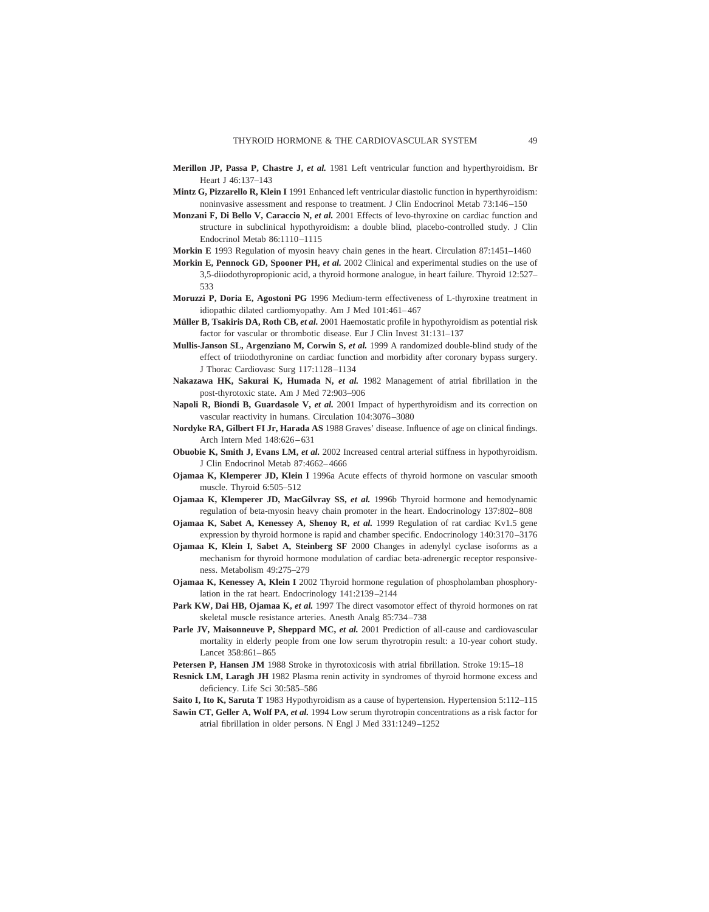- **Merillon JP, Passa P, Chastre J,** *et al.* 1981 Left ventricular function and hyperthyroidism. Br Heart J 46:137–143
- **Mintz G, Pizzarello R, Klein I** 1991 Enhanced left ventricular diastolic function in hyperthyroidism: noninvasive assessment and response to treatment. J Clin Endocrinol Metab 73:146–150
- **Monzani F, Di Bello V, Caraccio N,** *et al.* 2001 Effects of levo-thyroxine on cardiac function and structure in subclinical hypothyroidism: a double blind, placebo-controlled study. J Clin Endocrinol Metab 86:1110–1115
- **Morkin E** 1993 Regulation of myosin heavy chain genes in the heart. Circulation 87:1451–1460
- **Morkin E, Pennock GD, Spooner PH,** *et al.* 2002 Clinical and experimental studies on the use of 3,5-diiodothyropropionic acid, a thyroid hormone analogue, in heart failure. Thyroid 12:527– 533
- **Moruzzi P, Doria E, Agostoni PG** 1996 Medium-term effectiveness of L-thyroxine treatment in idiopathic dilated cardiomyopathy. Am J Med 101:461–467
- **Müller B, Tsakiris DA, Roth CB,** *et al.* 2001 Haemostatic profile in hypothyroidism as potential risk factor for vascular or thrombotic disease. Eur J Clin Invest 31:131–137
- **Mullis-Janson SL, Argenziano M, Corwin S,** *et al.* 1999 A randomized double-blind study of the effect of triiodothyronine on cardiac function and morbidity after coronary bypass surgery. J Thorac Cardiovasc Surg 117:1128–1134
- **Nakazawa HK, Sakurai K, Humada N,** *et al.* 1982 Management of atrial fibrillation in the post-thyrotoxic state. Am J Med 72:903–906
- **Napoli R, Biondi B, Guardasole V,** *et al.* 2001 Impact of hyperthyroidism and its correction on vascular reactivity in humans. Circulation 104:3076–3080
- **Nordyke RA, Gilbert FI Jr, Harada AS** 1988 Graves' disease. Influence of age on clinical findings. Arch Intern Med 148:626–631
- **Obuobie K, Smith J, Evans LM,** *et al.* 2002 Increased central arterial stiffness in hypothyroidism. J Clin Endocrinol Metab 87:4662–4666
- **Ojamaa K, Klemperer JD, Klein I** 1996a Acute effects of thyroid hormone on vascular smooth muscle. Thyroid 6:505–512
- **Ojamaa K, Klemperer JD, MacGilvray SS,** *et al.* 1996b Thyroid hormone and hemodynamic regulation of beta-myosin heavy chain promoter in the heart. Endocrinology 137:802–808
- **Ojamaa K, Sabet A, Kenessey A, Shenoy R,** *et al.* 1999 Regulation of rat cardiac Kv1.5 gene expression by thyroid hormone is rapid and chamber specific. Endocrinology 140:3170–3176
- **Ojamaa K, Klein I, Sabet A, Steinberg SF** 2000 Changes in adenylyl cyclase isoforms as a mechanism for thyroid hormone modulation of cardiac beta-adrenergic receptor responsiveness. Metabolism 49:275–279
- **Ojamaa K, Kenessey A, Klein I** 2002 Thyroid hormone regulation of phospholamban phosphorylation in the rat heart. Endocrinology 141:2139–2144
- **Park KW, Dai HB, Ojamaa K,** *et al.* 1997 The direct vasomotor effect of thyroid hormones on rat skeletal muscle resistance arteries. Anesth Analg 85:734–738
- Parle JV, Maisonneuve P, Sheppard MC, et al. 2001 Prediction of all-cause and cardiovascular mortality in elderly people from one low serum thyrotropin result: a 10-year cohort study. Lancet 358:861–865
- Petersen P, Hansen JM 1988 Stroke in thyrotoxicosis with atrial fibrillation. Stroke 19:15-18
- Resnick LM, Laragh JH 1982 Plasma renin activity in syndromes of thyroid hormone excess and deficiency. Life Sci 30:585–586

**Saito I, Ito K, Saruta T** 1983 Hypothyroidism as a cause of hypertension. Hypertension 5:112–115

**Sawin CT, Geller A, Wolf PA,** *et al.* 1994 Low serum thyrotropin concentrations as a risk factor for atrial fibrillation in older persons. N Engl J Med 331:1249–1252